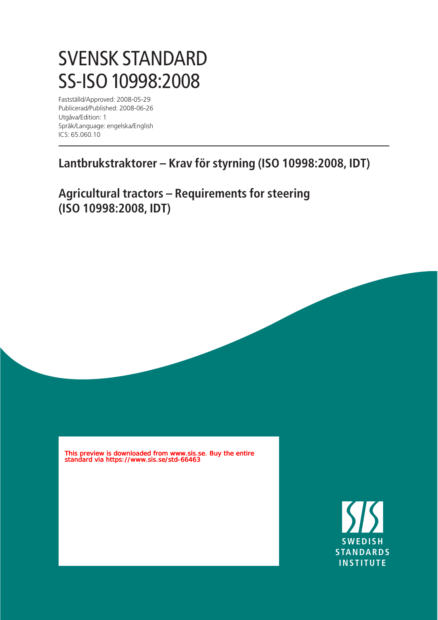## SVENSK STANDARD SS-ISO 10998:2008

Fastställd/Approved: 2008-05-29 Publicerad/Published: 2008-06-26 Utgåva/Edition: 1 Språk/Language: engelska/English ICS: 65.060.10

## **Lantbrukstraktorer – Krav för styrning (ISO 10998:2008, IDT)**

**Agricultural tractors – Requirements for steering (ISO 10998:2008, IDT)**

This preview is downloaded from www.sis.se. Buy the entire standard via https://www.sis.se/std-66463

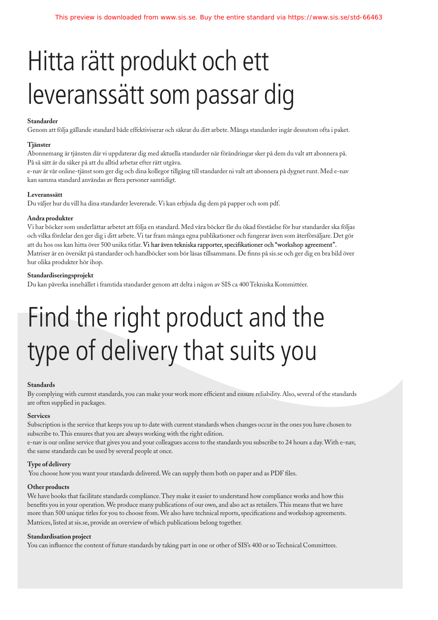## Hitta rätt produkt och ett leveranssätt som passar dig

#### **Standarder**

Genom att följa gällande standard både effektiviserar och säkrar du ditt arbete. Många standarder ingår dessutom ofta i paket.

#### **Tjänster**

Abonnemang är tjänsten där vi uppdaterar dig med aktuella standarder när förändringar sker på dem du valt att abonnera på. På så sätt är du säker på att du alltid arbetar efter rätt utgåva.

e-nav är vår online-tjänst som ger dig och dina kollegor tillgång till standarder ni valt att abonnera på dygnet runt. Med e-nav kan samma standard användas av flera personer samtidigt.

#### **Leveranssätt**

Du väljer hur du vill ha dina standarder levererade. Vi kan erbjuda dig dem på papper och som pdf.

#### **Andra produkter**

Vi har böcker som underlättar arbetet att följa en standard. Med våra böcker får du ökad förståelse för hur standarder ska följas och vilka fördelar den ger dig i ditt arbete. Vi tar fram många egna publikationer och fungerar även som återförsäljare. Det gör att du hos oss kan hitta över 500 unika titlar. Vi har även tekniska rapporter, specifikationer och "workshop agreement". Matriser är en översikt på standarder och handböcker som bör läsas tillsammans. De finns på sis.se och ger dig en bra bild över hur olika produkter hör ihop.

#### **Standardiseringsprojekt**

Du kan påverka innehållet i framtida standarder genom att delta i någon av SIS ca 400 Tekniska Kommittéer.

# Find the right product and the type of delivery that suits you

#### **Standards**

By complying with current standards, you can make your work more efficient and ensure reliability. Also, several of the standards are often supplied in packages.

#### **Services**

Subscription is the service that keeps you up to date with current standards when changes occur in the ones you have chosen to subscribe to. This ensures that you are always working with the right edition.

e-nav is our online service that gives you and your colleagues access to the standards you subscribe to 24 hours a day. With e-nav, the same standards can be used by several people at once.

#### **Type of delivery**

You choose how you want your standards delivered. We can supply them both on paper and as PDF files.

#### **Other products**

We have books that facilitate standards compliance. They make it easier to understand how compliance works and how this benefits you in your operation. We produce many publications of our own, and also act as retailers. This means that we have more than 500 unique titles for you to choose from. We also have technical reports, specifications and workshop agreements. Matrices, listed at sis.se, provide an overview of which publications belong together.

#### **Standardisation project**

You can influence the content of future standards by taking part in one or other of SIS's 400 or so Technical Committees.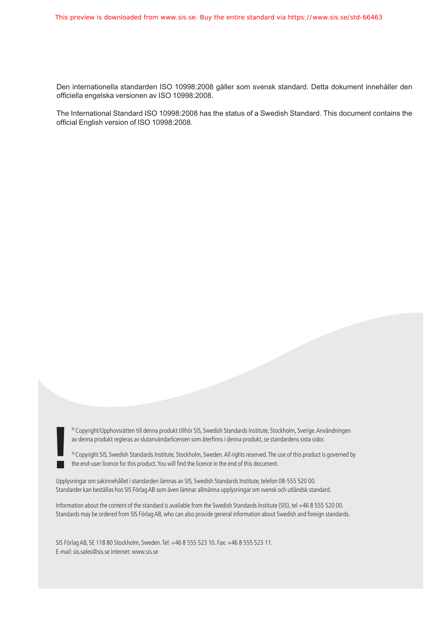Den internationella standarden ISO 10998:2008 gäller som svensk standard. Detta dokument innehåller den officiella engelska versionen av ISO 10998:2008.

The International Standard ISO 10998:2008 has the status of a Swedish Standard. This document contains the official English version of ISO 10998:2008.

av denna produkt regleras av slutanvändarlicensen som återfinns i denna produkt, se standardens sista sidor.

<sup>©</sup> Copyright/Upphovsrätten till denna produkt tillhör SIS, Swedish Standards Institute, Stockholm, Sverige. Användningen<br>av denna produkt regleras av slutanvändarlicensen som återfinns i denna produkt, se standardens sis

Upplysningar om sakinnehållet i standarden lämnas av SIS, Swedish Standards Institute, telefon 08-555 520 00. Standarder kan beställas hos SIS Förlag AB som även lämnar allmänna upplysningar om svensk och utländsk standard.

Information about the content of the standard is available from the Swedish Standards Institute (SIS), tel +46 8 555 520 00. Standards may be ordered from SIS Förlag AB, who can also provide general information about Swedish and foreign standards.

SIS Förlag AB, SE 118 80 Stockholm, Sweden. Tel: +46 8 555 523 10. Fax: +46 8 555 523 11. E-mail: sis.sales@sis.se Internet: www.sis.se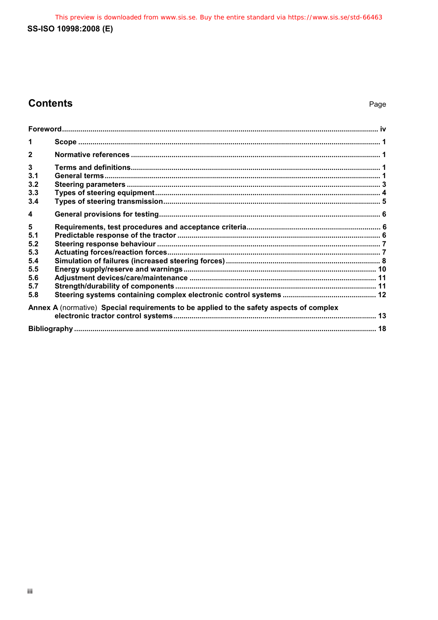This preview is downloaded from www.sis.se. Buy the entire standard via https://www.sis.se/std-66463 SS-ISO 10998:2008 (E)

## **Contents**

| 1                                                                                       |  |  |  |
|-----------------------------------------------------------------------------------------|--|--|--|
| $\overline{2}$                                                                          |  |  |  |
| $\mathbf{3}$<br>3.1                                                                     |  |  |  |
| 3.2<br>3.3<br>3.4                                                                       |  |  |  |
| $\boldsymbol{4}$                                                                        |  |  |  |
| 5<br>5.1<br>5.2<br>5.3                                                                  |  |  |  |
| 5.4<br>5.5<br>5.6<br>5.7<br>5.8                                                         |  |  |  |
| Annex A (normative) Special requirements to be applied to the safety aspects of complex |  |  |  |
|                                                                                         |  |  |  |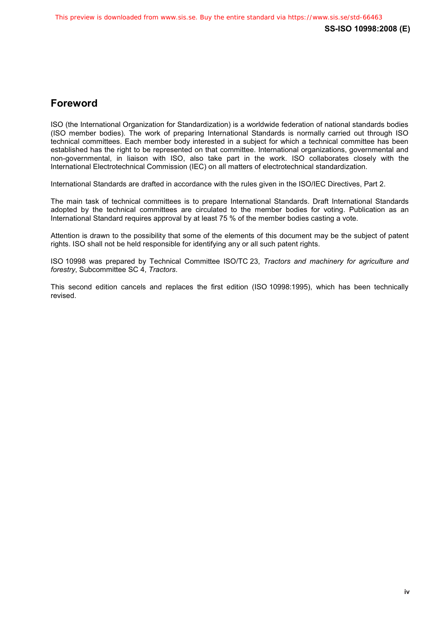### **Foreword**

ISO (the International Organization for Standardization) is a worldwide federation of national standards bodies (ISO member bodies). The work of preparing International Standards is normally carried out through ISO technical committees. Each member body interested in a subject for which a technical committee has been established has the right to be represented on that committee. International organizations, governmental and non-governmental, in liaison with ISO, also take part in the work. ISO collaborates closely with the International Electrotechnical Commission (IEC) on all matters of electrotechnical standardization.

International Standards are drafted in accordance with the rules given in the ISO/IEC Directives, Part 2.

The main task of technical committees is to prepare International Standards. Draft International Standards adopted by the technical committees are circulated to the member bodies for voting. Publication as an International Standard requires approval by at least 75 % of the member bodies casting a vote.

Attention is drawn to the possibility that some of the elements of this document may be the subject of patent rights. ISO shall not be held responsible for identifying any or all such patent rights.

ISO 10998 was prepared by Technical Committee ISO/TC 23, *Tractors and machinery for agriculture and forestry*, Subcommittee SC 4, *Tractors*.

This second edition cancels and replaces the first edition (ISO 10998:1995), which has been technically revised.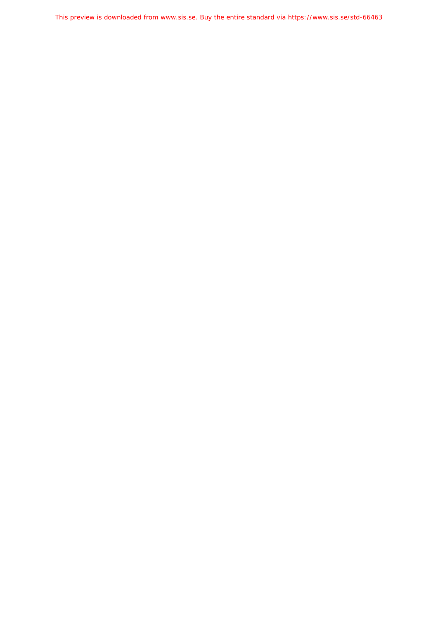This preview is downloaded from www.sis.se. Buy the entire standard via https://www.sis.se/std-66463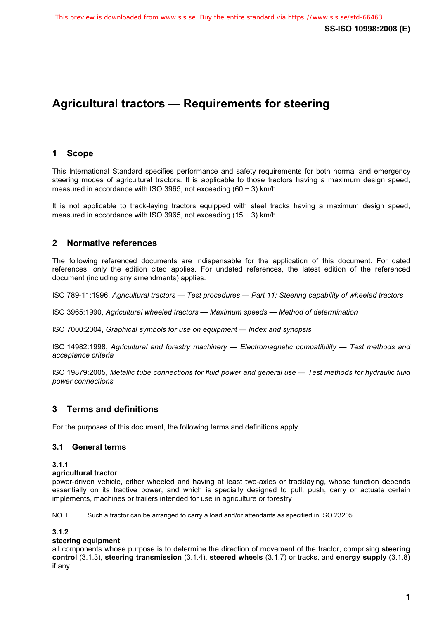## **Agricultural tractors — Requirements for steering**

#### **1 Scope**

This International Standard specifies performance and safety requirements for both normal and emergency steering modes of agricultural tractors. It is applicable to those tractors having a maximum design speed, measured in accordance with ISO 3965, not exceeding (60  $\pm$  3) km/h.

It is not applicable to track-laying tractors equipped with steel tracks having a maximum design speed, measured in accordance with ISO 3965, not exceeding  $(15 \pm 3)$  km/h.

#### **2 Normative references**

The following referenced documents are indispensable for the application of this document. For dated references, only the edition cited applies. For undated references, the latest edition of the referenced document (including any amendments) applies.

ISO 789-11:1996, *Agricultural tractors — Test procedures — Part 11: Steering capability of wheeled tractors*

ISO 3965:1990, *Agricultural wheeled tractors — Maximum speeds — Method of determination*

ISO 7000:2004, *Graphical symbols for use on equipment — Index and synopsis*

ISO 14982:1998, *Agricultural and forestry machinery — Electromagnetic compatibility — Test methods and acceptance criteria*

ISO 19879:2005, *Metallic tube connections for fluid power and general use — Test methods for hydraulic fluid power connections*

#### **3 Terms and definitions**

For the purposes of this document, the following terms and definitions apply.

#### **3.1 General terms**

#### **3.1.1**

#### **agricultural tractor**

power-driven vehicle, either wheeled and having at least two-axles or tracklaying, whose function depends essentially on its tractive power, and which is specially designed to pull, push, carry or actuate certain implements, machines or trailers intended for use in agriculture or forestry

NOTE Such a tractor can be arranged to carry a load and/or attendants as specified in ISO 23205.

#### **3.1.2**

#### **steering equipment**

all components whose purpose is to determine the direction of movement of the tractor, comprising **steering control** (3.1.3), **steering transmission** (3.1.4), **steered wheels** (3.1.7) or tracks, and **energy supply** (3.1.8) if any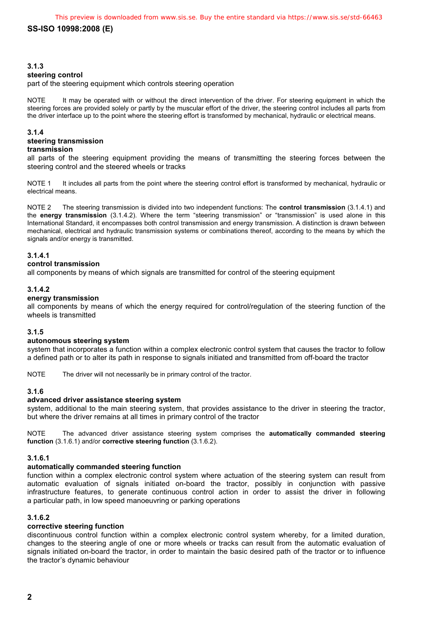**ISO 10998:2008(E) SS-ISO 10998:2008 (E)**

#### **3.1.3**

#### **steering control**

part of the steering equipment which controls steering operation

NOTE It may be operated with or without the direct intervention of the driver. For steering equipment in which the steering forces are provided solely or partly by the muscular effort of the driver, the steering control includes all parts from the driver interface up to the point where the steering effort is transformed by mechanical, hydraulic or electrical means.

#### **3.1.4**

#### **steering transmission transmission**

all parts of the steering equipment providing the means of transmitting the steering forces between the steering control and the steered wheels or tracks

NOTE 1 It includes all parts from the point where the steering control effort is transformed by mechanical, hydraulic or electrical means.

NOTE 2 The steering transmission is divided into two independent functions: The **control transmission** (3.1.4.1) and the **energy transmission** (3.1.4.2). Where the term "steering transmission" or "transmission" is used alone in this International Standard, it encompasses both control transmission and energy transmission. A distinction is drawn between mechanical, electrical and hydraulic transmission systems or combinations thereof, according to the means by which the signals and/or energy is transmitted.

#### **3.1.4.1**

#### **control transmission**

all components by means of which signals are transmitted for control of the steering equipment

#### **3.1.4.2**

#### **energy transmission**

all components by means of which the energy required for control/regulation of the steering function of the wheels is transmitted

#### **3.1.5**

#### **autonomous steering system**

system that incorporates a function within a complex electronic control system that causes the tractor to follow a defined path or to alter its path in response to signals initiated and transmitted from off-board the tractor

NOTE The driver will not necessarily be in primary control of the tractor.

#### **3.1.6**

#### **advanced driver assistance steering system**

system, additional to the main steering system, that provides assistance to the driver in steering the tractor, but where the driver remains at all times in primary control of the tractor

NOTE The advanced driver assistance steering system comprises the **automatically commanded steering function** (3.1.6.1) and/or **corrective steering function** (3.1.6.2).

#### **3.1.6.1**

#### **automatically commanded steering function**

function within a complex electronic control system where actuation of the steering system can result from automatic evaluation of signals initiated on-board the tractor, possibly in conjunction with passive infrastructure features, to generate continuous control action in order to assist the driver in following a particular path, in low speed manoeuvring or parking operations

#### **3.1.6.2**

#### **corrective steering function**

discontinuous control function within a complex electronic control system whereby, for a limited duration, changes to the steering angle of one or more wheels or tracks can result from the automatic evaluation of signals initiated on-board the tractor, in order to maintain the basic desired path of the tractor or to influence the tractor's dynamic behaviour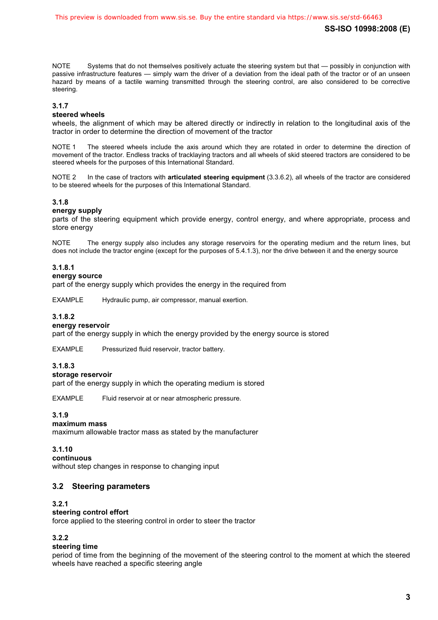NOTE Systems that do not themselves positively actuate the steering system but that — possibly in conjunction with passive infrastructure features — simply warn the driver of a deviation from the ideal path of the tractor or of an unseen hazard by means of a tactile warning transmitted through the steering control, are also considered to be corrective steering.

#### **3.1.7**

#### **steered wheels**

wheels, the alignment of which may be altered directly or indirectly in relation to the longitudinal axis of the tractor in order to determine the direction of movement of the tractor

NOTE 1 The steered wheels include the axis around which they are rotated in order to determine the direction of movement of the tractor. Endless tracks of tracklaying tractors and all wheels of skid steered tractors are considered to be steered wheels for the purposes of this International Standard.

NOTE 2 In the case of tractors with **articulated steering equipment** (3.3.6.2), all wheels of the tractor are considered to be steered wheels for the purposes of this International Standard.

#### **3.1.8**

#### **energy supply**

parts of the steering equipment which provide energy, control energy, and where appropriate, process and store energy

NOTE The energy supply also includes any storage reservoirs for the operating medium and the return lines, but does not include the tractor engine (except for the purposes of 5.4.1.3), nor the drive between it and the energy source

#### **3.1.8.1**

#### **energy source**

part of the energy supply which provides the energy in the required from

EXAMPLE Hydraulic pump, air compressor, manual exertion.

#### **3.1.8.2**

#### **energy reservoir**

part of the energy supply in which the energy provided by the energy source is stored

EXAMPLE Pressurized fluid reservoir, tractor battery.

- **3.1.8.3**
- **storage reservoir**

part of the energy supply in which the operating medium is stored

EXAMPLE Fluid reservoir at or near atmospheric pressure.

#### **3.1.9**

#### **maximum mass**

maximum allowable tractor mass as stated by the manufacturer

**3.1.10** 

**continuous** 

without step changes in response to changing input

#### **3.2 Steering parameters**

#### **3.2.1**

#### **steering control effort**

force applied to the steering control in order to steer the tractor

#### **3.2.2**

#### **steering time**

period of time from the beginning of the movement of the steering control to the moment at which the steered wheels have reached a specific steering angle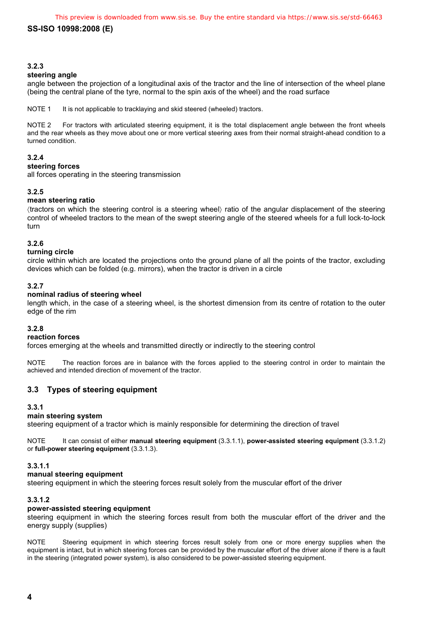### **ISO 10998:2008(E) SS-ISO 10998:2008 (E)**

#### **3.2.3**

#### **steering angle**

angle between the projection of a longitudinal axis of the tractor and the line of intersection of the wheel plane (being the central plane of the tyre, normal to the spin axis of the wheel) and the road surface

NOTE 1 It is not applicable to tracklaying and skid steered (wheeled) tractors.

NOTE 2 For tractors with articulated steering equipment, it is the total displacement angle between the front wheels and the rear wheels as they move about one or more vertical steering axes from their normal straight-ahead condition to a turned condition.

#### **3.2.4**

#### **steering forces**

all forces operating in the steering transmission

#### **3.2.5**

#### **mean steering ratio**

¢tractors on which the steering control is a steering wheel² ratio of the angular displacement of the steering control of wheeled tractors to the mean of the swept steering angle of the steered wheels for a full lock-to-lock turn

#### **3.2.6**

#### **turning circle**

circle within which are located the projections onto the ground plane of all the points of the tractor, excluding devices which can be folded (e.g. mirrors), when the tractor is driven in a circle

#### **3.2.7**

#### **nominal radius of steering wheel**

length which, in the case of a steering wheel, is the shortest dimension from its centre of rotation to the outer edge of the rim

#### **3.2.8**

#### **reaction forces**

forces emerging at the wheels and transmitted directly or indirectly to the steering control

NOTE The reaction forces are in balance with the forces applied to the steering control in order to maintain the achieved and intended direction of movement of the tractor.

#### **3.3 Types of steering equipment**

#### **3.3.1**

#### **main steering system**

steering equipment of a tractor which is mainly responsible for determining the direction of travel

NOTE It can consist of either **manual steering equipment** (3.3.1.1), **power-assisted steering equipment** (3.3.1.2) or **full-power steering equipment** (3.3.1.3).

#### **3.3.1.1**

#### **manual steering equipment**

steering equipment in which the steering forces result solely from the muscular effort of the driver

#### **3.3.1.2**

#### **power-assisted steering equipment**

steering equipment in which the steering forces result from both the muscular effort of the driver and the energy supply (supplies)

NOTE Steering equipment in which steering forces result solely from one or more energy supplies when the equipment is intact, but in which steering forces can be provided by the muscular effort of the driver alone if there is a fault in the steering (integrated power system), is also considered to be power-assisted steering equipment.